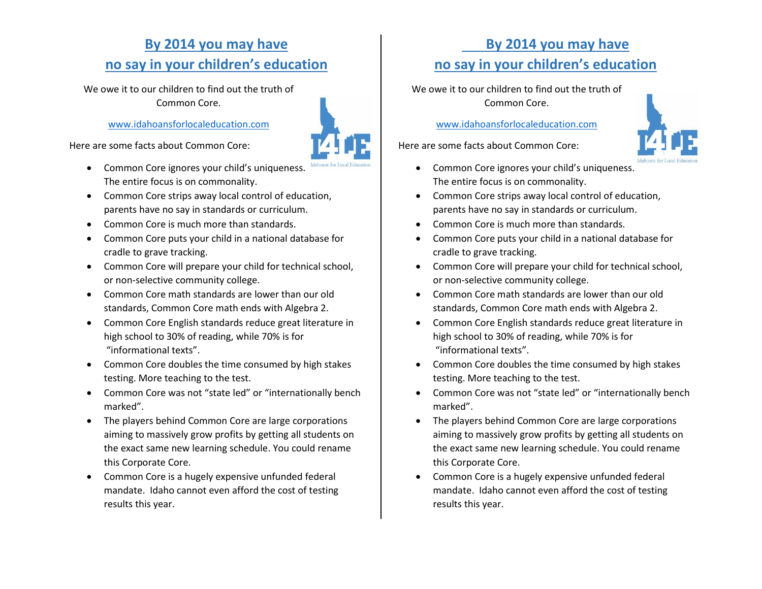# **By 2014 you may have no say in your children's education**

We owe it to our children to find out the truth of Common Core.

# [www.idahoansforlocaleducation.com](http://www.idahoansforlocaleducation.com/)

Here are some facts about Common Core:

- Common Core ignores your child's uniqueness. The entire focus is on commonality.
- Common Core strips away local control of education, parents have no say in standards or curriculum.
- Common Core is much more than standards.
- Common Core puts your child in a national database for cradle to grave tracking.
- Common Core will prepare your child for technical school, or non-selective community college.
- Common Core math standards are lower than our old standards, Common Core math ends with Algebra 2.
- Common Core English standards reduce great literature in high school to 30% of reading, while 70% is for "informational texts".
- Common Core doubles the time consumed by high stakes testing. More teaching to the test.
- Common Core was not "state led" or "internationally bench marked".
- The players behind Common Core are large corporations aiming to massively grow profits by getting all students on the exact same new learning schedule. You could rename this Corporate Core.
- Common Core is a hugely expensive unfunded federal mandate. Idaho cannot even afford the cost of testing results this year.

# **By 2014 you may have no say in your children's education**

We owe it to our children to find out the truth of Common Core.

[www.idahoansforlocaleducation.com](http://www.idahoansforlocaleducation.com/)

Here are some facts about Common Core:

- Common Core ignores your child's uniqueness. The entire focus is on commonality.
- Common Core strips away local control of education, parents have no say in standards or curriculum.
- Common Core is much more than standards.
- Common Core puts your child in a national database for cradle to grave tracking.
- Common Core will prepare your child for technical school, or non-selective community college.
- Common Core math standards are lower than our old standards, Common Core math ends with Algebra 2.
- Common Core English standards reduce great literature in high school to 30% of reading, while 70% is for "informational texts".
- Common Core doubles the time consumed by high stakes testing. More teaching to the test.
- Common Core was not "state led" or "internationally bench marked".
- The players behind Common Core are large corporations aiming to massively grow profits by getting all students on the exact same new learning schedule. You could rename this Corporate Core.
- Common Core is a hugely expensive unfunded federal mandate. Idaho cannot even afford the cost of testing results this year.